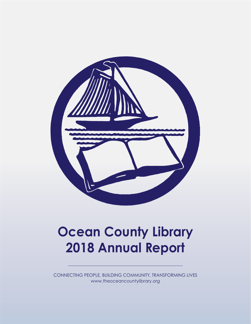

# **Ocean County Library 2018 Annual Report**

CONNECTING PEOPLE, BUILDING COMMUNITY, TRANSFORMING LIVES www.theoceancountylibrary.org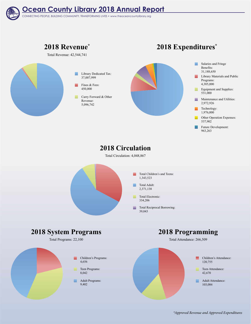

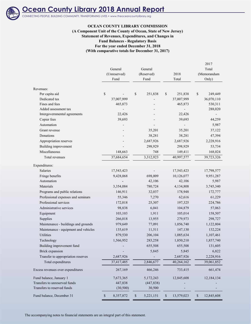

## **Ocean County Library 2018 Annual Report**

CONNECTING PEOPLE, BUILDING COMMUNITY, TRANSFORMING LIVES • www.theoceancountylibrary.org

#### **OCEAN COUNTY LIBRARY COMMISSION**

#### **Statement of Revenues, Expenditures, and Changes in Fund Balances - Regulatory Basis For the year ended December 31, 2018 (With comparative totals for December 31, 2017) (A Component Unit of the County of Ocean, State of New Jersey)**

|                                      |                 |                   |                                         | 2017                       |
|--------------------------------------|-----------------|-------------------|-----------------------------------------|----------------------------|
|                                      | General         | General           |                                         | Total                      |
|                                      | (Unreserved)    | (Reserved)        | 2018                                    | (Memorandum                |
|                                      | Fund            | Fund              | Total                                   | Only)                      |
| Revenues:                            |                 |                   |                                         |                            |
| Per capita aid                       | $\mathbb S$     | \$<br>251,838     | \$<br>251,838                           | $\mathbb{S}$<br>249,449    |
| Dedicated tax                        | 37,007,999      |                   | 37,007,999                              | 36,070,110                 |
| Fines and fees                       | 465,873         |                   | 465,873                                 | 530,311                    |
| Added assessment tax                 |                 |                   |                                         | 288,020                    |
| Intergovernmental agreements         | 22,426          |                   | 22,426                                  |                            |
| Copier fees                          | 39,693          |                   | 39,693                                  | 44,259                     |
| Automation                           |                 |                   |                                         | 5,987                      |
| Grant revenue                        |                 | 35,201            | 35,201                                  | 37,122                     |
| Donations                            |                 | 38,281            | 38,281                                  | 47,394                     |
| Appropriation reserves               |                 | 2,687,926         | 2,687,926                               | 2,228,916                  |
| Building improvement                 |                 | 298,929           | 298,929                                 | 53,734                     |
| Miscellaneous                        | 148,663         | 748               | 149,411                                 | 168,024                    |
| Total revenues                       | 37,684,654      | 3,312,923         | 40,997,577                              | 39,723,326                 |
| Expenditures:                        |                 |                   |                                         |                            |
| Salaries                             | 17,543,423      |                   | 17,543,423                              | 17,798,577                 |
| Fringe benefits                      | 9,428,068       | 698,009           | 10,126,077                              | 9,951,287                  |
| Automation                           |                 | 42,106            | 42,106                                  | 5,987                      |
| Materials                            | 3,354,084       | 780,724           | 4,134,808                               | 3,745,340                  |
| Programs and public relations        | 146,911         | 32,037            | 178,948                                 | 172,777                    |
| Professional expenses and seminars   | 55,346          | 7,270             | 62,616                                  | 61,229                     |
| Professional services                | 172,018         | 25,307            | 197,325                                 | 224,786                    |
| Administrative services              | 98,838          | 6,041             | 104,879                                 | 57,063                     |
| Equipment                            | 103,103         | 1,911             | 105,014                                 | 158,507                    |
| Supplies                             | 266,018         | 13,955            | 279,973                                 | 298,727                    |
| Maintenance - buildings and grounds  | 979,649         | 77,091            | 1,056,740                               | 1,122,804                  |
| Maintenance - equipment and vehicles | 135,619         | 11,511            | 147,130                                 | 132,224                    |
| Utilities                            | 879,530         | 206,104           | 1,085,634                               | 1,107,461                  |
| Technology                           | 1,566,952       | 283,258           | 1,850,210                               | 1,857,740                  |
| Building improvement fund            |                 | 655,508           | 655,508                                 | 131,605                    |
| Brick expansion                      |                 | 5,845             | 5,845                                   | 6,822                      |
| Transfer to appropriation reserves   | 2,687,926       |                   | 2,687,926                               | 2,228,916                  |
| Total expenditures                   | 37,417,485      | 2,846,677         | 40,264,162                              | 39,061,852                 |
| Excess revenues over expenditures    | 267,169         | 466,246           | 733,415                                 | 661,474                    |
| Fund balance, January 1              | 7,673,365       | 5,172,243         | 12,845,608                              | 12,184,134                 |
| Transfers to unreserved funds        | 447,838         | (447, 838)        |                                         |                            |
| Transfers to reserved funds          | (30, 500)       | 30,500            |                                         |                            |
| Fund balance, December 31            | \$<br>8,357,872 | $\$$<br>5,221,151 | 13,579,023<br>$\boldsymbol{\mathsf{S}}$ | $\mathbb{S}$<br>12,845,608 |

The accompanying notes to financial statements are an integral part of this statement.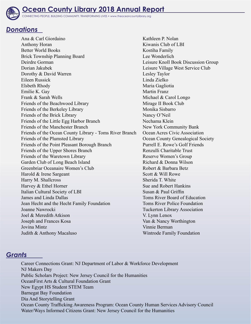

## *Donations*

Ana & Carl Giordaino Anthony Horan Better World Books Brick Township Planning Board Deirdre Gorman Dorian Jakubek Dorothy & David Warren Eileen Russick Elsbeth Rhody Emilie K. Gay Frank & Sarah Wells Friends of the Beachwood Library Friends of the Berkeley Library Friends of the Brick Library Friends of the Little Egg Harbor Branch Friends of the Manchester Branch Friends of the Ocean County Library - Toms River Branch Friends of the Plumsted Library Friends of the Point Pleasant Borough Branch Friends of the Upper Shores Branch Friends of the Waretown Library Garden Club of Long Beach Island Greenbriar Oceanaire Women's Club Harold & Irene Sargeant Harry M. Shallcross Harvey & Ethel Horner Italian Cultural Society of LBI James and Linda Dallas Jean Hecht and the Hecht Family Foundation Joanne Nawrocki Joel & Meredith Atkison Joseph and Frances Kosa Jovina Mintz Judith & Anthony Macaluso

Kathleen P. Nolan Kiwanis Club of LBI Kostiha Family Lee Wonderlich Leisure Knoll Book Discussion Group Leisure Village West Service Club Lesley Taylor Linda Zielko Maria Gagliotia Martin Franz Michael & Carol Longo Mirage II Book Club Monika Sisbarro Nancy O'Neil Nechama Klein New York Community Bank Ocean Acres Civic Association Ocean County Genealogical Society Purrell E. Rowe's Golf Friends Renzulli Charitable Trust Reserve Women's Group Richard & Donna Wilson Robert & Barbara Betz Scott & Will Rowe Sherida T. White Sue and Robert Hankins Susan & Paul Griffin Toms River Board of Education Toms River Police Foundation Tuckerton Library Association V. Lynn Lenox Van & Nancy Worthington Vinnie Berman Wintrode Family Foundation

### *Grants*

Career Connections Grant: NJ Department of Labor & Workforce Development NJ Makers Day Public Scholars Project: New Jersey Council for the Humanities OceanFirst Arts & Cultural Foundation Grant New Egypt HS Student STEM Team Barnegat Bay Foundation Dia And Storytelling Grant Ocean County Trafficking Awareness Program: Ocean County Human Services Advisory Council Water/Ways Informed Citizens Grant: New Jersey Council for the Humanities